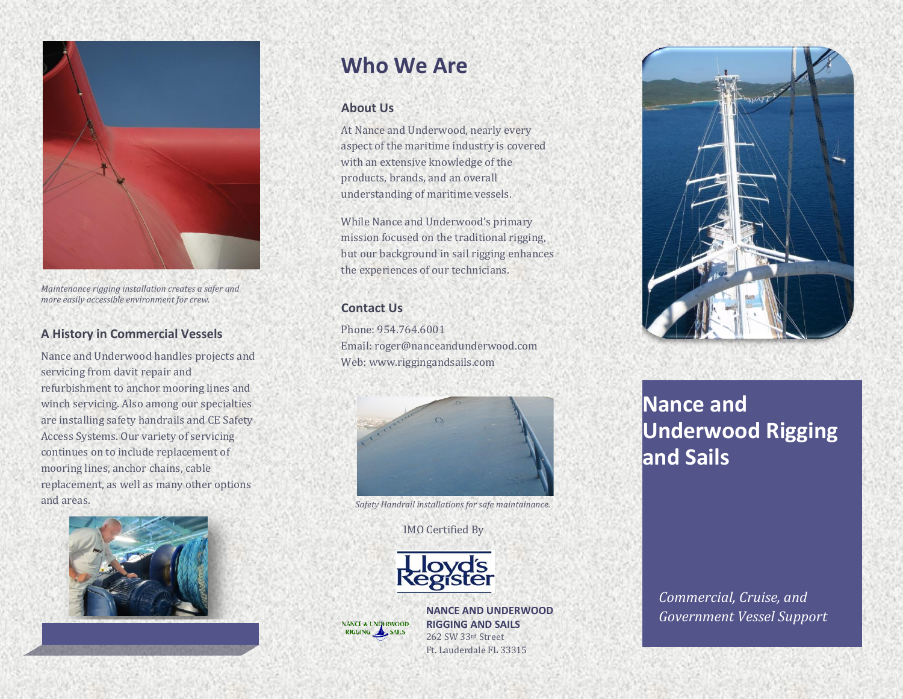

*Maintenance rigging installation creates a safer and more easily accessible environment for crew.*

### **A History in Commercial Vessels**

Nance and Underwood handles projects and servicing from davit repair and refurbishment to anchor mooring lines and winch servicing. Also among our specialties are installing safety handrails and CE Safety Access Systems. Our variety of servicing continues on to include replacement of mooring lines, anchor chains, cable replacement, as well as many other options and areas.



## **Who We Are**

#### **About Us**

At Nance and Underwood, nearly every aspect of the maritime industry is covered with an extensive knowledge of the products, brands, and an overall understanding of maritime vessels.

While Nance and Underwood's primary mission focused on the traditional rigging, but our background in sail rigging enhances the experiences of our technicians.

#### **Contact Us**

Phone: 954.764.6001 Email: roger@nanceandunderwood.com Web: www.riggingandsails.com



*Safety Handrail installations for safe maintainance.*

#### IMO Certified By



**NANCE & UNDERWOOD** RIGGING A SAILS

**NANCE AND UNDERWOOD RIGGING AND SAILS** 262 SW 33rd Street Ft. Lauderdale FL 33315



# **Nance and Underwood Rigging and Sails**

*Commercial, Cruise, and Government Vessel Support*